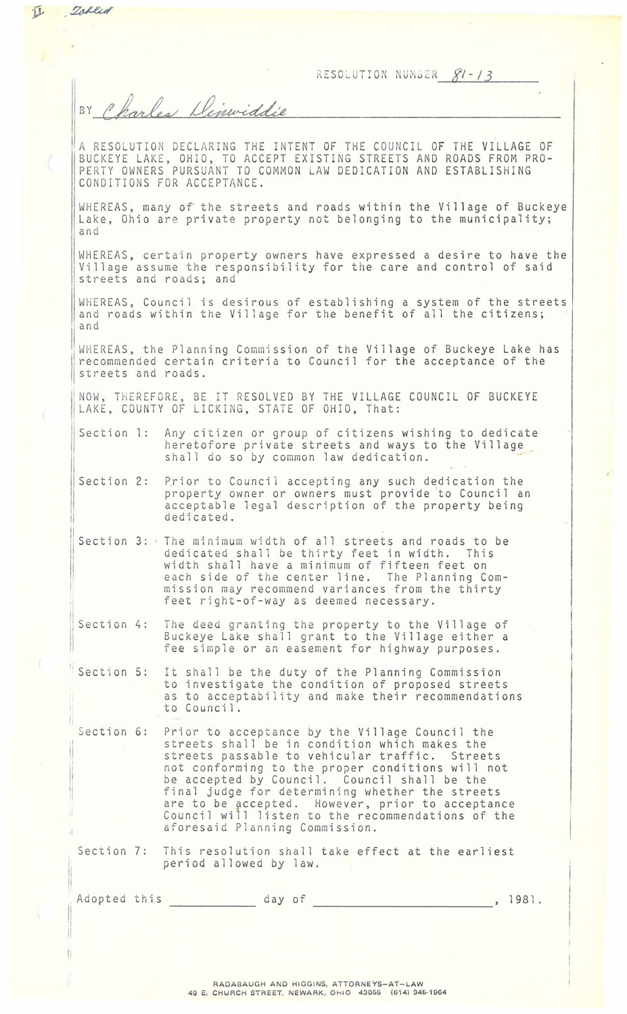RESOLUTION NUMBER  $fl-13$ 

BY Charles Denwiddie

I

让

Tobled

1

ii

1, 11 'I

j1  $\mathbf{H}$ 

A RESOLUTION DECLARING THE INTENT OF THE COUNCIL OF THE VILLAGE OF BUCKEYE LAKE, OHIO, TO ACCEPT EXISTING STREETS AND ROADS FROM PRO-PE RTY OWNERS PURSUANT TO COMMON LAW DEDICATION AND ESTABLISHING CONDITIONS FOR ACCEPTANCE.

WHEREAS, many of the streets and roads within the Village of Buckeye Lake, Ohio are private property not belonging to the municipality; and

WHEREAS, certain property owners have expressed a desire to have the Vi llage assume the responsibility for the care and control of said streets and roads; and

WHEREAS, Council is desirous of establishing a system of the streets and roads within the Village for the benefit of all the citizens; and

WHEREAS, the Planning Commission of the Village of Buckeye Lake has recommended certain criteria to Council for the acceptance of the streets and roads.

INOW, THER EFORE, BE IT RESOLVED BY THE VILLAGE COUNCIL OF BUCKEYE LAKE, COUNTY OF LICKING, STATE OF OHIO, That:

Section l: Any citizen or group of citizens wishing to dedicate heretofore private streets and ways to the Village shall do so by common law dedication.

Section 2: Prior to Council accepting any such dedication the property owner or owners must provide to Council an acceptable legal description of the property being dedicated.

'I Section 3: The minimum width of all streets and roads to be dedicated shall be thirty feet in width. This width shall have a minimum of fifteen feet on e ach side of the center line. The Planning Commission may recommend variances from the thirty feet right-of-way as deemed necessary.

Section 4: The deed granting the property to the Village of fee simple or an easement for highway purposes.

Section 5: It shall be the duty of the Planning Commission to investigate the condition of proposed streets as to acceptability and make their recommendations to Council.

Section 6: Prior to acceptance by the Village Council the streets shall be in condition which makes the streets passable to vehicular traffic. Streets not conforming to the proper conditions will not be accepted by Council. Council shall be the final judge for determining whether the streets are to be accepted. However, prior to acceptance Council will listen to the recommendations of the af oresaid Plann ing Commission.

Section 7: This resolution shall take effect at the earliest period allowed by law.

| Adopted this |  | day of |  | 1981. |  |
|--------------|--|--------|--|-------|--|
|              |  |        |  |       |  |